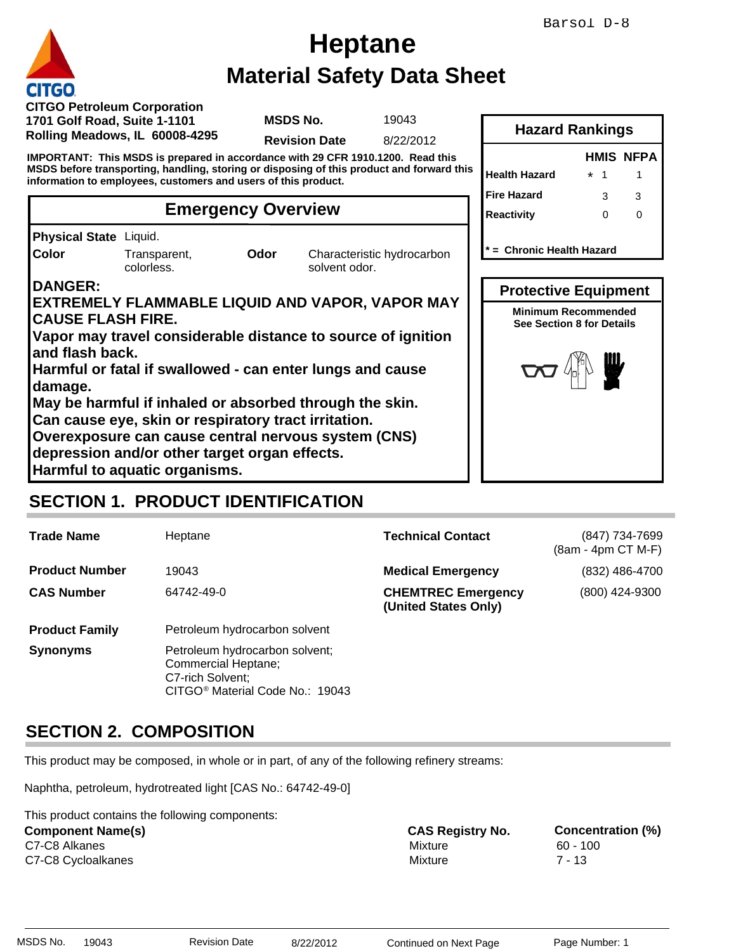# **Material Safety Data Sheet Heptane**

### **Emergency Overview**

### **DANGER:**

## **SECTION 1. PRODUCT IDENTIFICATION**

|                                                                                                                                                             |                                         |                                                                                                                                                                        |                                                                                              |                                            | Barsol D-8                                                                                    |
|-------------------------------------------------------------------------------------------------------------------------------------------------------------|-----------------------------------------|------------------------------------------------------------------------------------------------------------------------------------------------------------------------|----------------------------------------------------------------------------------------------|--------------------------------------------|-----------------------------------------------------------------------------------------------|
|                                                                                                                                                             |                                         |                                                                                                                                                                        | <b>Heptane</b>                                                                               |                                            |                                                                                               |
|                                                                                                                                                             |                                         |                                                                                                                                                                        | <b>Material Safety Data Sheet</b>                                                            |                                            |                                                                                               |
| <b>CITGO</b><br><b>CITGO Petroleum Corporation</b><br>1701 Golf Road, Suite 1-1101<br>Rolling Meadows, IL 60008-4295                                        |                                         | <b>MSDS No.</b>                                                                                                                                                        | 19043                                                                                        |                                            | <b>Hazard Rankings</b>                                                                        |
| IMPORTANT: This MSDS is prepared in accordance with 29 CFR 1910.1200. Read this                                                                             |                                         | <b>Revision Date</b>                                                                                                                                                   | 8/22/2012                                                                                    |                                            | <b>HMIS NFPA</b>                                                                              |
| MSDS before transporting, handling, storing or disposing of this product and forward this<br>information to employees, customers and users of this product. |                                         |                                                                                                                                                                        |                                                                                              | <b>Health Hazard</b><br><b>Fire Hazard</b> | $*$ 1<br>$\mathbf{1}$<br>3<br>3                                                               |
|                                                                                                                                                             |                                         | <b>Emergency Overview</b>                                                                                                                                              |                                                                                              | <b>Reactivity</b>                          | $\Omega$<br>$\Omega$                                                                          |
| Physical State Liquid.                                                                                                                                      |                                         |                                                                                                                                                                        |                                                                                              |                                            |                                                                                               |
| Color                                                                                                                                                       | Transparent,<br>colorless.              | Odor<br>solvent odor.                                                                                                                                                  | Characteristic hydrocarbon                                                                   |                                            | * = Chronic Health Hazard                                                                     |
| <b>DANGER:</b><br><b>CAUSE FLASH FIRE.</b>                                                                                                                  |                                         | EXTREMELY FLAMMABLE LIQUID AND VAPOR, VAPOR MAY<br>Vapor may travel considerable distance to source of ignition                                                        |                                                                                              |                                            | <b>Protective Equipment</b><br><b>Minimum Recommended</b><br><b>See Section 8 for Details</b> |
| and flash back.                                                                                                                                             |                                         | Harmful or fatal if swallowed - can enter lungs and cause                                                                                                              |                                                                                              |                                            |                                                                                               |
| damage.                                                                                                                                                     |                                         | May be harmful if inhaled or absorbed through the skin.<br>Can cause eye, skin or respiratory tract irritation.<br>Overexposure can cause central nervous system (CNS) |                                                                                              |                                            |                                                                                               |
| depression and/or other target organ effects.<br>Harmful to aquatic organisms.                                                                              |                                         |                                                                                                                                                                        |                                                                                              |                                            |                                                                                               |
|                                                                                                                                                             |                                         | <b>SECTION 1. PRODUCT IDENTIFICATION</b>                                                                                                                               |                                                                                              |                                            |                                                                                               |
| <b>Trade Name</b>                                                                                                                                           | Heptane                                 |                                                                                                                                                                        | <b>Technical Contact</b>                                                                     |                                            | (847) 734-7699<br>(8am - 4pm CT M-F)                                                          |
| <b>Product Number</b>                                                                                                                                       | 19043                                   |                                                                                                                                                                        | <b>Medical Emergency</b>                                                                     |                                            | (832) 486-4700                                                                                |
| <b>CAS Number</b>                                                                                                                                           | 64742-49-0                              |                                                                                                                                                                        | <b>CHEMTREC Emergency</b><br>(United States Only)                                            |                                            | (800) 424-9300                                                                                |
| <b>Product Family</b>                                                                                                                                       |                                         | Petroleum hydrocarbon solvent                                                                                                                                          |                                                                                              |                                            |                                                                                               |
| <b>Synonyms</b>                                                                                                                                             | Commercial Heptane;<br>C7-rich Solvent; | Petroleum hydrocarbon solvent;<br>CITGO <sup>®</sup> Material Code No.: 19043                                                                                          |                                                                                              |                                            |                                                                                               |
| <b>SECTION 2. COMPOSITION</b>                                                                                                                               |                                         |                                                                                                                                                                        |                                                                                              |                                            |                                                                                               |
|                                                                                                                                                             |                                         |                                                                                                                                                                        | This product may be composed, in whole or in part, of any of the following refinery streams: |                                            |                                                                                               |
| Naphtha, petroleum, hydrotreated light [CAS No.: 64742-49-0]                                                                                                |                                         |                                                                                                                                                                        |                                                                                              |                                            |                                                                                               |
| This product contains the following components:<br><b>Component Name(s)</b><br>C7-C8 Alkanes<br>C7-C8 Cycloalkanes                                          |                                         |                                                                                                                                                                        | <b>CAS Registry No.</b><br>Mixture<br><b>Mixture</b>                                         |                                            | <b>Concentration (%)</b><br>$60 - 100$<br>$7 - 13$                                            |
| MSDS No.<br>19043                                                                                                                                           | <b>Revision Date</b>                    | 8/22/2012                                                                                                                                                              | Continued on Next Page                                                                       |                                            | Page Number: 1                                                                                |

## **SECTION 2. COMPOSITION**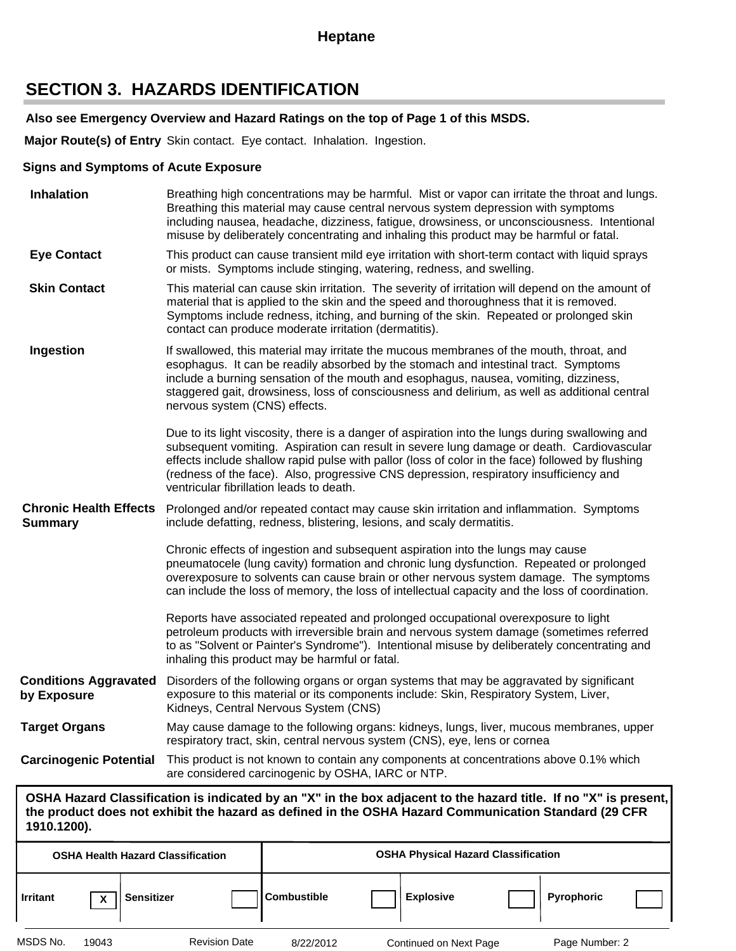### **SECTION 3. HAZARDS IDENTIFICATION**

#### **Also see Emergency Overview and Hazard Ratings on the top of Page 1 of this MSDS.**

**Major Route(s) of Entry** Skin contact. Eye contact. Inhalation. Ingestion.

#### **Signs and Symptoms of Acute Exposure**

| <b>Inhalation</b>                                                 | Breathing high concentrations may be harmful. Mist or vapor can irritate the throat and lungs.<br>Breathing this material may cause central nervous system depression with symptoms<br>including nausea, headache, dizziness, fatigue, drowsiness, or unconsciousness. Intentional<br>misuse by deliberately concentrating and inhaling this product may be harmful or fatal.                                                           |  |  |  |  |
|-------------------------------------------------------------------|-----------------------------------------------------------------------------------------------------------------------------------------------------------------------------------------------------------------------------------------------------------------------------------------------------------------------------------------------------------------------------------------------------------------------------------------|--|--|--|--|
| <b>Eye Contact</b>                                                | This product can cause transient mild eye irritation with short-term contact with liquid sprays<br>or mists. Symptoms include stinging, watering, redness, and swelling.                                                                                                                                                                                                                                                                |  |  |  |  |
| <b>Skin Contact</b>                                               | This material can cause skin irritation. The severity of irritation will depend on the amount of<br>material that is applied to the skin and the speed and thoroughness that it is removed.<br>Symptoms include redness, itching, and burning of the skin. Repeated or prolonged skin<br>contact can produce moderate irritation (dermatitis).                                                                                          |  |  |  |  |
| Ingestion                                                         | If swallowed, this material may irritate the mucous membranes of the mouth, throat, and<br>esophagus. It can be readily absorbed by the stomach and intestinal tract. Symptoms<br>include a burning sensation of the mouth and esophagus, nausea, vomiting, dizziness,<br>staggered gait, drowsiness, loss of consciousness and delirium, as well as additional central<br>nervous system (CNS) effects.                                |  |  |  |  |
|                                                                   | Due to its light viscosity, there is a danger of aspiration into the lungs during swallowing and<br>subsequent vomiting. Aspiration can result in severe lung damage or death. Cardiovascular<br>effects include shallow rapid pulse with pallor (loss of color in the face) followed by flushing<br>(redness of the face). Also, progressive CNS depression, respiratory insufficiency and<br>ventricular fibrillation leads to death. |  |  |  |  |
| <b>Chronic Health Effects</b><br><b>Summary</b>                   | Prolonged and/or repeated contact may cause skin irritation and inflammation. Symptoms<br>include defatting, redness, blistering, lesions, and scaly dermatitis.                                                                                                                                                                                                                                                                        |  |  |  |  |
|                                                                   | Chronic effects of ingestion and subsequent aspiration into the lungs may cause<br>pneumatocele (lung cavity) formation and chronic lung dysfunction. Repeated or prolonged<br>overexposure to solvents can cause brain or other nervous system damage. The symptoms<br>can include the loss of memory, the loss of intellectual capacity and the loss of coordination.                                                                 |  |  |  |  |
|                                                                   | Reports have associated repeated and prolonged occupational overexposure to light<br>petroleum products with irreversible brain and nervous system damage (sometimes referred<br>to as "Solvent or Painter's Syndrome"). Intentional misuse by deliberately concentrating and<br>inhaling this product may be harmful or fatal.                                                                                                         |  |  |  |  |
| <b>Conditions Aggravated</b><br>by Exposure                       | Disorders of the following organs or organ systems that may be aggravated by significant<br>exposure to this material or its components include: Skin, Respiratory System, Liver,<br>Kidneys, Central Nervous System (CNS)                                                                                                                                                                                                              |  |  |  |  |
| <b>Target Organs</b>                                              | May cause damage to the following organs: kidneys, lungs, liver, mucous membranes, upper<br>respiratory tract, skin, central nervous system (CNS), eye, lens or cornea                                                                                                                                                                                                                                                                  |  |  |  |  |
| <b>Carcinogenic Potential</b>                                     | This product is not known to contain any components at concentrations above 0.1% which<br>are considered carcinogenic by OSHA, IARC or NTP.                                                                                                                                                                                                                                                                                             |  |  |  |  |
| 1910.1200).                                                       | OSHA Hazard Classification is indicated by an "X" in the box adjacent to the hazard title. If no "X" is present,<br>the product does not exhibit the hazard as defined in the OSHA Hazard Communication Standard (29 CFR                                                                                                                                                                                                                |  |  |  |  |
| <b>OSHA Health Hazard Classification</b>                          | <b>OSHA Physical Hazard Classification</b>                                                                                                                                                                                                                                                                                                                                                                                              |  |  |  |  |
| <b>Sensitizer</b><br><b>Irritant</b><br>$\boldsymbol{\mathsf{x}}$ | Combustible<br><b>Explosive</b><br>Pyrophoric                                                                                                                                                                                                                                                                                                                                                                                           |  |  |  |  |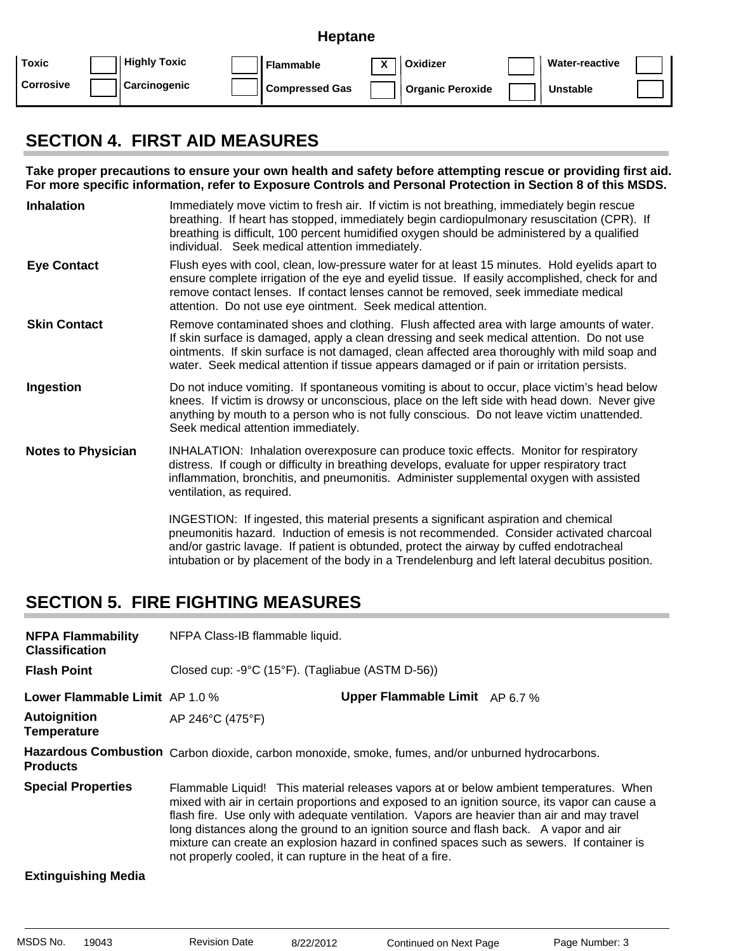|                  |                     | <b>Heptane</b>        |             |                               |                       |  |
|------------------|---------------------|-----------------------|-------------|-------------------------------|-----------------------|--|
| Toxic            | <b>Highly Toxic</b> | <b>Flammable</b>      | $\mathbf v$ | Oxidizer                      | <b>Water-reactive</b> |  |
| <b>Corrosive</b> | Carcinogenic        | <b>Compressed Gas</b> |             | <sup>1</sup> Organic Peroxide | <b>Unstable</b>       |  |

### **SECTION 4. FIRST AID MEASURES**

**Take proper precautions to ensure your own health and safety before attempting rescue or providing first aid. For more specific information, refer to Exposure Controls and Personal Protection in Section 8 of this MSDS.**

- **Inhalation** Immediately move victim to fresh air. If victim is not breathing, immediately begin rescue breathing. If heart has stopped, immediately begin cardiopulmonary resuscitation (CPR). If breathing is difficult, 100 percent humidified oxygen should be administered by a qualified individual. Seek medical attention immediately.
- **Eye Contact** Flush eyes with cool, clean, low-pressure water for at least 15 minutes. Hold eyelids apart to ensure complete irrigation of the eye and eyelid tissue. If easily accomplished, check for and remove contact lenses. If contact lenses cannot be removed, seek immediate medical attention. Do not use eye ointment. Seek medical attention.
- **Skin Contact** Remove contaminated shoes and clothing. Flush affected area with large amounts of water. If skin surface is damaged, apply a clean dressing and seek medical attention. Do not use ointments. If skin surface is not damaged, clean affected area thoroughly with mild soap and water. Seek medical attention if tissue appears damaged or if pain or irritation persists.
- **Ingestion** Do not induce vomiting. If spontaneous vomiting is about to occur, place victim's head below knees. If victim is drowsy or unconscious, place on the left side with head down. Never give anything by mouth to a person who is not fully conscious. Do not leave victim unattended. Seek medical attention immediately.
- **Notes to Physician** INHALATION: Inhalation overexposure can produce toxic effects. Monitor for respiratory distress. If cough or difficulty in breathing develops, evaluate for upper respiratory tract inflammation, bronchitis, and pneumonitis. Administer supplemental oxygen with assisted ventilation, as required.

INGESTION: If ingested, this material presents a significant aspiration and chemical pneumonitis hazard. Induction of emesis is not recommended. Consider activated charcoal and/or gastric lavage. If patient is obtunded, protect the airway by cuffed endotracheal intubation or by placement of the body in a Trendelenburg and left lateral decubitus position.

## **SECTION 5. FIRE FIGHTING MEASURES**

| <b>NFPA Flammability</b><br><b>Classification</b> | NFPA Class-IB flammable liquid. |                                                                                                                                                                                                                                                                                                                                                                                                                                                                                                                                            |  |  |
|---------------------------------------------------|---------------------------------|--------------------------------------------------------------------------------------------------------------------------------------------------------------------------------------------------------------------------------------------------------------------------------------------------------------------------------------------------------------------------------------------------------------------------------------------------------------------------------------------------------------------------------------------|--|--|
| <b>Flash Point</b>                                |                                 | Closed cup: -9°C (15°F). (Tagliabue (ASTM D-56))                                                                                                                                                                                                                                                                                                                                                                                                                                                                                           |  |  |
| Lower Flammable Limit AP 1.0 %                    |                                 | <b>Upper Flammable Limit</b> AP 6.7 %                                                                                                                                                                                                                                                                                                                                                                                                                                                                                                      |  |  |
| <b>Autoignition</b><br><b>Temperature</b>         | AP 246°C (475°F)                |                                                                                                                                                                                                                                                                                                                                                                                                                                                                                                                                            |  |  |
| <b>Products</b>                                   |                                 | Hazardous Combustion Carbon dioxide, carbon monoxide, smoke, fumes, and/or unburned hydrocarbons.                                                                                                                                                                                                                                                                                                                                                                                                                                          |  |  |
| <b>Special Properties</b>                         |                                 | Flammable Liquid! This material releases vapors at or below ambient temperatures. When<br>mixed with air in certain proportions and exposed to an ignition source, its vapor can cause a<br>flash fire. Use only with adequate ventilation. Vapors are heavier than air and may travel<br>long distances along the ground to an ignition source and flash back. A vapor and air<br>mixture can create an explosion hazard in confined spaces such as sewers. If container is<br>not properly cooled, it can rupture in the heat of a fire. |  |  |
| <b>Extinguishing Media</b>                        |                                 |                                                                                                                                                                                                                                                                                                                                                                                                                                                                                                                                            |  |  |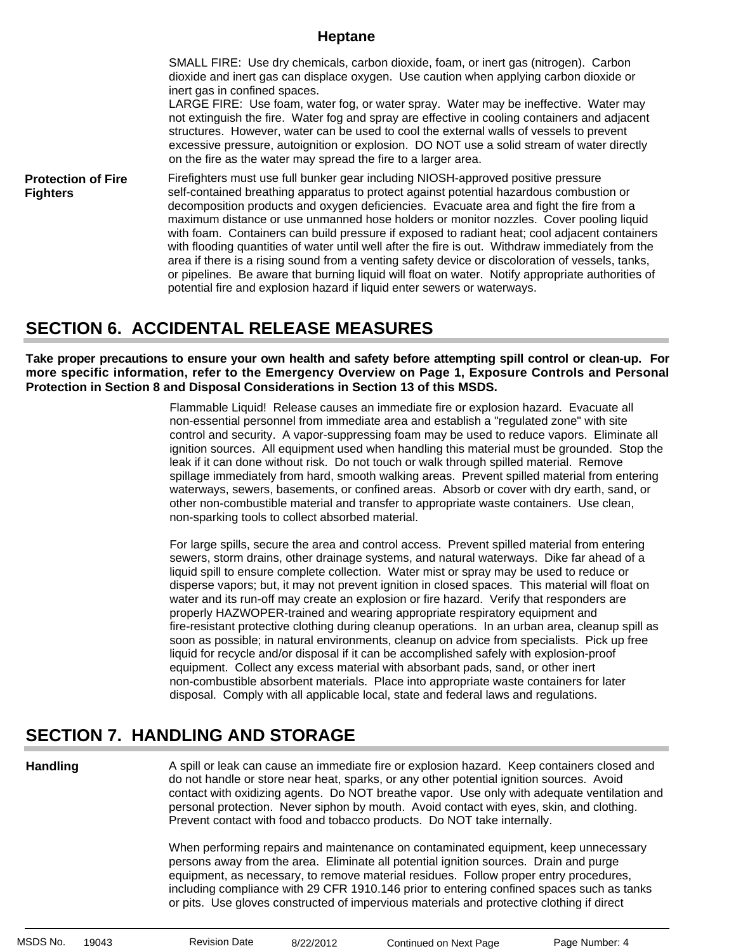SMALL FIRE: Use dry chemicals, carbon dioxide, foam, or inert gas (nitrogen). Carbon dioxide and inert gas can displace oxygen. Use caution when applying carbon dioxide or inert gas in confined spaces.

LARGE FIRE: Use foam, water fog, or water spray. Water may be ineffective. Water may not extinguish the fire. Water fog and spray are effective in cooling containers and adjacent structures. However, water can be used to cool the external walls of vessels to prevent excessive pressure, autoignition or explosion. DO NOT use a solid stream of water directly on the fire as the water may spread the fire to a larger area.

**Protection of Fire Fighters** Firefighters must use full bunker gear including NIOSH-approved positive pressure self-contained breathing apparatus to protect against potential hazardous combustion or decomposition products and oxygen deficiencies. Evacuate area and fight the fire from a maximum distance or use unmanned hose holders or monitor nozzles. Cover pooling liquid with foam. Containers can build pressure if exposed to radiant heat; cool adjacent containers with flooding quantities of water until well after the fire is out. Withdraw immediately from the area if there is a rising sound from a venting safety device or discoloration of vessels, tanks, or pipelines. Be aware that burning liquid will float on water. Notify appropriate authorities of potential fire and explosion hazard if liquid enter sewers or waterways.

### **SECTION 6. ACCIDENTAL RELEASE MEASURES**

**Take proper precautions to ensure your own health and safety before attempting spill control or clean-up. For more specific information, refer to the Emergency Overview on Page 1, Exposure Controls and Personal Protection in Section 8 and Disposal Considerations in Section 13 of this MSDS.**

> Flammable Liquid! Release causes an immediate fire or explosion hazard. Evacuate all non-essential personnel from immediate area and establish a "regulated zone" with site control and security. A vapor-suppressing foam may be used to reduce vapors. Eliminate all ignition sources. All equipment used when handling this material must be grounded. Stop the leak if it can done without risk. Do not touch or walk through spilled material. Remove spillage immediately from hard, smooth walking areas. Prevent spilled material from entering waterways, sewers, basements, or confined areas. Absorb or cover with dry earth, sand, or other non-combustible material and transfer to appropriate waste containers. Use clean, non-sparking tools to collect absorbed material.

For large spills, secure the area and control access. Prevent spilled material from entering sewers, storm drains, other drainage systems, and natural waterways. Dike far ahead of a liquid spill to ensure complete collection. Water mist or spray may be used to reduce or disperse vapors; but, it may not prevent ignition in closed spaces. This material will float on water and its run-off may create an explosion or fire hazard. Verify that responders are properly HAZWOPER-trained and wearing appropriate respiratory equipment and fire-resistant protective clothing during cleanup operations. In an urban area, cleanup spill as soon as possible; in natural environments, cleanup on advice from specialists. Pick up free liquid for recycle and/or disposal if it can be accomplished safely with explosion-proof equipment. Collect any excess material with absorbant pads, sand, or other inert non-combustible absorbent materials. Place into appropriate waste containers for later disposal. Comply with all applicable local, state and federal laws and regulations.

## **SECTION 7. HANDLING AND STORAGE**

**Handling**

A spill or leak can cause an immediate fire or explosion hazard. Keep containers closed and do not handle or store near heat, sparks, or any other potential ignition sources. Avoid contact with oxidizing agents. Do NOT breathe vapor. Use only with adequate ventilation and personal protection. Never siphon by mouth. Avoid contact with eyes, skin, and clothing. Prevent contact with food and tobacco products. Do NOT take internally.

When performing repairs and maintenance on contaminated equipment, keep unnecessary persons away from the area. Eliminate all potential ignition sources. Drain and purge equipment, as necessary, to remove material residues. Follow proper entry procedures, including compliance with 29 CFR 1910.146 prior to entering confined spaces such as tanks or pits. Use gloves constructed of impervious materials and protective clothing if direct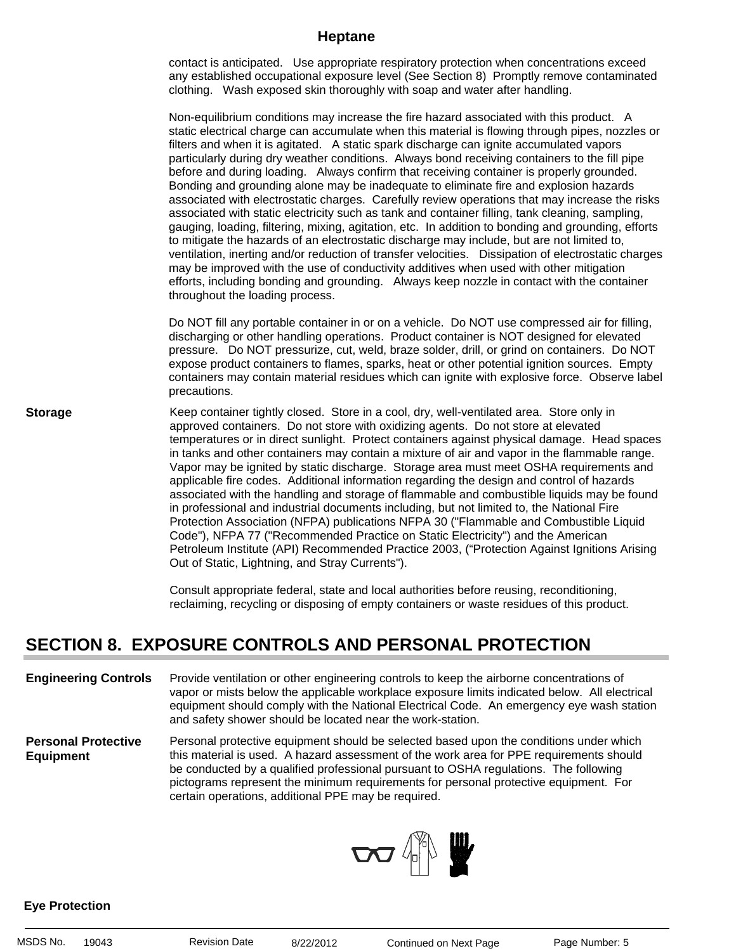contact is anticipated. Use appropriate respiratory protection when concentrations exceed any established occupational exposure level (See Section 8) Promptly remove contaminated clothing. Wash exposed skin thoroughly with soap and water after handling.

Non-equilibrium conditions may increase the fire hazard associated with this product. A static electrical charge can accumulate when this material is flowing through pipes, nozzles or filters and when it is agitated. A static spark discharge can ignite accumulated vapors particularly during dry weather conditions. Always bond receiving containers to the fill pipe before and during loading. Always confirm that receiving container is properly grounded. Bonding and grounding alone may be inadequate to eliminate fire and explosion hazards associated with electrostatic charges. Carefully review operations that may increase the risks associated with static electricity such as tank and container filling, tank cleaning, sampling, gauging, loading, filtering, mixing, agitation, etc. In addition to bonding and grounding, efforts to mitigate the hazards of an electrostatic discharge may include, but are not limited to, ventilation, inerting and/or reduction of transfer velocities. Dissipation of electrostatic charges may be improved with the use of conductivity additives when used with other mitigation efforts, including bonding and grounding. Always keep nozzle in contact with the container throughout the loading process.

Do NOT fill any portable container in or on a vehicle. Do NOT use compressed air for filling, discharging or other handling operations. Product container is NOT designed for elevated pressure. Do NOT pressurize, cut, weld, braze solder, drill, or grind on containers. Do NOT expose product containers to flames, sparks, heat or other potential ignition sources. Empty containers may contain material residues which can ignite with explosive force. Observe label precautions.

**Storage** Keep container tightly closed. Store in a cool, dry, well-ventilated area. Store only in approved containers. Do not store with oxidizing agents. Do not store at elevated temperatures or in direct sunlight. Protect containers against physical damage. Head spaces in tanks and other containers may contain a mixture of air and vapor in the flammable range. Vapor may be ignited by static discharge. Storage area must meet OSHA requirements and applicable fire codes. Additional information regarding the design and control of hazards associated with the handling and storage of flammable and combustible liquids may be found in professional and industrial documents including, but not limited to, the National Fire Protection Association (NFPA) publications NFPA 30 ("Flammable and Combustible Liquid Code"), NFPA 77 ("Recommended Practice on Static Electricity") and the American Petroleum Institute (API) Recommended Practice 2003, ("Protection Against Ignitions Arising Out of Static, Lightning, and Stray Currents").

> Consult appropriate federal, state and local authorities before reusing, reconditioning, reclaiming, recycling or disposing of empty containers or waste residues of this product.

### **SECTION 8. EXPOSURE CONTROLS AND PERSONAL PROTECTION**

**Engineering Controls** Provide ventilation or other engineering controls to keep the airborne concentrations of vapor or mists below the applicable workplace exposure limits indicated below. All electrical equipment should comply with the National Electrical Code. An emergency eye wash station and safety shower should be located near the work-station.

**Personal Protective Equipment** Personal protective equipment should be selected based upon the conditions under which this material is used. A hazard assessment of the work area for PPE requirements should be conducted by a qualified professional pursuant to OSHA regulations. The following pictograms represent the minimum requirements for personal protective equipment. For certain operations, additional PPE may be required.



#### **Eye Protection**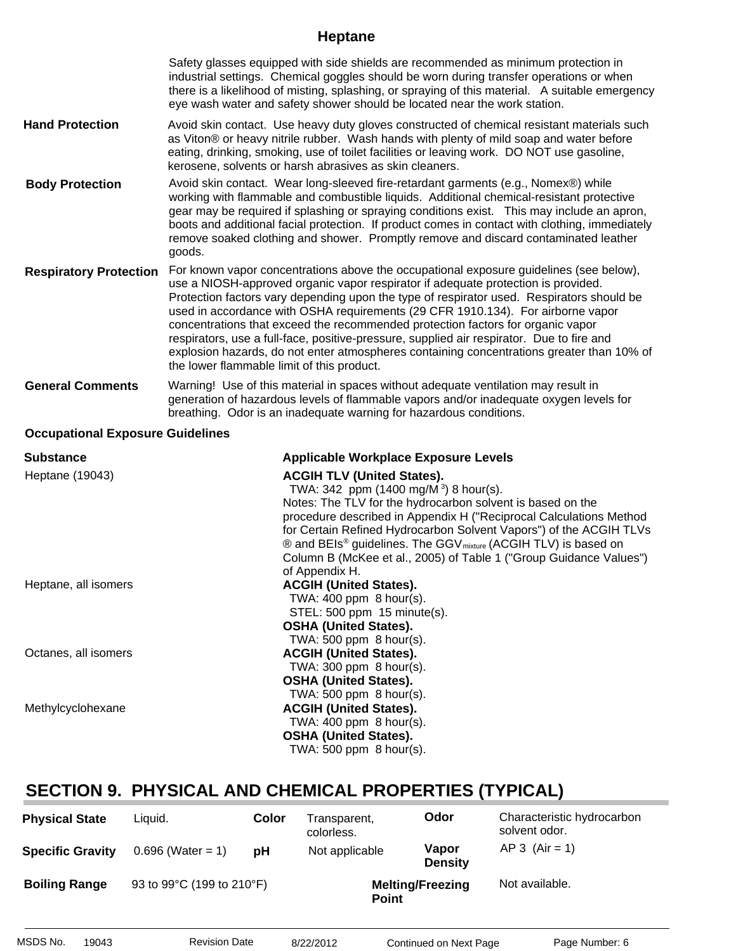|                               | Safety glasses equipped with side shields are recommended as minimum protection in<br>industrial settings. Chemical goggles should be worn during transfer operations or when<br>there is a likelihood of misting, splashing, or spraying of this material. A suitable emergency<br>eye wash water and safety shower should be located near the work station.                                                                                                                                                                                                                                                                                                                          |
|-------------------------------|----------------------------------------------------------------------------------------------------------------------------------------------------------------------------------------------------------------------------------------------------------------------------------------------------------------------------------------------------------------------------------------------------------------------------------------------------------------------------------------------------------------------------------------------------------------------------------------------------------------------------------------------------------------------------------------|
| <b>Hand Protection</b>        | Avoid skin contact. Use heavy duty gloves constructed of chemical resistant materials such<br>as Viton® or heavy nitrile rubber. Wash hands with plenty of mild soap and water before<br>eating, drinking, smoking, use of toilet facilities or leaving work. DO NOT use gasoline,<br>kerosene, solvents or harsh abrasives as skin cleaners.                                                                                                                                                                                                                                                                                                                                          |
| <b>Body Protection</b>        | Avoid skin contact. Wear long-sleeved fire-retardant garments (e.g., Nomex®) while<br>working with flammable and combustible liquids. Additional chemical-resistant protective<br>gear may be required if splashing or spraying conditions exist. This may include an apron,<br>boots and additional facial protection. If product comes in contact with clothing, immediately<br>remove soaked clothing and shower. Promptly remove and discard contaminated leather<br>goods.                                                                                                                                                                                                        |
| <b>Respiratory Protection</b> | For known vapor concentrations above the occupational exposure guidelines (see below),<br>use a NIOSH-approved organic vapor respirator if adequate protection is provided.<br>Protection factors vary depending upon the type of respirator used. Respirators should be<br>used in accordance with OSHA requirements (29 CFR 1910.134). For airborne vapor<br>concentrations that exceed the recommended protection factors for organic vapor<br>respirators, use a full-face, positive-pressure, supplied air respirator. Due to fire and<br>explosion hazards, do not enter atmospheres containing concentrations greater than 10% of<br>the lower flammable limit of this product. |
| <b>General Comments</b>       | Warning! Use of this material in spaces without adequate ventilation may result in<br>generation of hazardous levels of flammable vapors and/or inadequate oxygen levels for<br>breathing. Odor is an inadequate warning for hazardous conditions.                                                                                                                                                                                                                                                                                                                                                                                                                                     |

#### **Occupational Exposure Guidelines**

| <b>Substance</b>     | <b>Applicable Workplace Exposure Levels</b>                                                                                                                                                                                                                                                                                                                                                                                                                                |
|----------------------|----------------------------------------------------------------------------------------------------------------------------------------------------------------------------------------------------------------------------------------------------------------------------------------------------------------------------------------------------------------------------------------------------------------------------------------------------------------------------|
| Heptane (19043)      | <b>ACGIH TLV (United States).</b><br>TWA: 342 ppm (1400 mg/M <sup>3</sup> ) 8 hour(s).<br>Notes: The TLV for the hydrocarbon solvent is based on the<br>procedure described in Appendix H ("Reciprocal Calculations Method<br>for Certain Refined Hydrocarbon Solvent Vapors") of the ACGIH TLVs<br>$\circledR$ and BEIs <sup>®</sup> guidelines. The GGV <sub>mixture</sub> (ACGIH TLV) is based on<br>Column B (McKee et al., 2005) of Table 1 ("Group Guidance Values") |
| Heptane, all isomers | of Appendix H.<br><b>ACGIH (United States).</b>                                                                                                                                                                                                                                                                                                                                                                                                                            |
|                      | TWA: 400 ppm 8 hour(s).                                                                                                                                                                                                                                                                                                                                                                                                                                                    |
|                      | STEL: 500 ppm 15 minute(s).                                                                                                                                                                                                                                                                                                                                                                                                                                                |
|                      | <b>OSHA (United States).</b>                                                                                                                                                                                                                                                                                                                                                                                                                                               |
|                      | TWA: $500$ ppm $8$ hour(s).                                                                                                                                                                                                                                                                                                                                                                                                                                                |
| Octanes, all isomers | <b>ACGIH (United States).</b>                                                                                                                                                                                                                                                                                                                                                                                                                                              |
|                      | TWA: $300$ ppm $8$ hour(s).                                                                                                                                                                                                                                                                                                                                                                                                                                                |
|                      | <b>OSHA (United States).</b>                                                                                                                                                                                                                                                                                                                                                                                                                                               |
|                      | TWA: $500$ ppm $8$ hour(s).                                                                                                                                                                                                                                                                                                                                                                                                                                                |
| Methylcyclohexane    | <b>ACGIH (United States).</b>                                                                                                                                                                                                                                                                                                                                                                                                                                              |
|                      | TWA: $400$ ppm $8$ hour(s).                                                                                                                                                                                                                                                                                                                                                                                                                                                |
|                      | <b>OSHA (United States).</b>                                                                                                                                                                                                                                                                                                                                                                                                                                               |
|                      | TWA: 500 ppm 8 hour(s).                                                                                                                                                                                                                                                                                                                                                                                                                                                    |

## **SECTION 9. PHYSICAL AND CHEMICAL PROPERTIES (TYPICAL)**

| <b>Physical State</b>   | Liquid.                   | Color | Fransparent,<br>colorless. | Odor                    | Characteristic hydrocarbon<br>solvent odor. |
|-------------------------|---------------------------|-------|----------------------------|-------------------------|---------------------------------------------|
| <b>Specific Gravity</b> | $0.696$ (Water = 1)       | рH    | Not applicable             | Vapor<br><b>Density</b> | $AP 3 (Air = 1)$                            |
| <b>Boiling Range</b>    | 93 to 99°C (199 to 210°F) |       | <b>Point</b>               | <b>Melting/Freezing</b> | Not available.                              |
| MSDS No.<br>19043       | <b>Revision Date</b>      |       | 8/22/2012                  | Continued on Next Page  | Page Number: 6                              |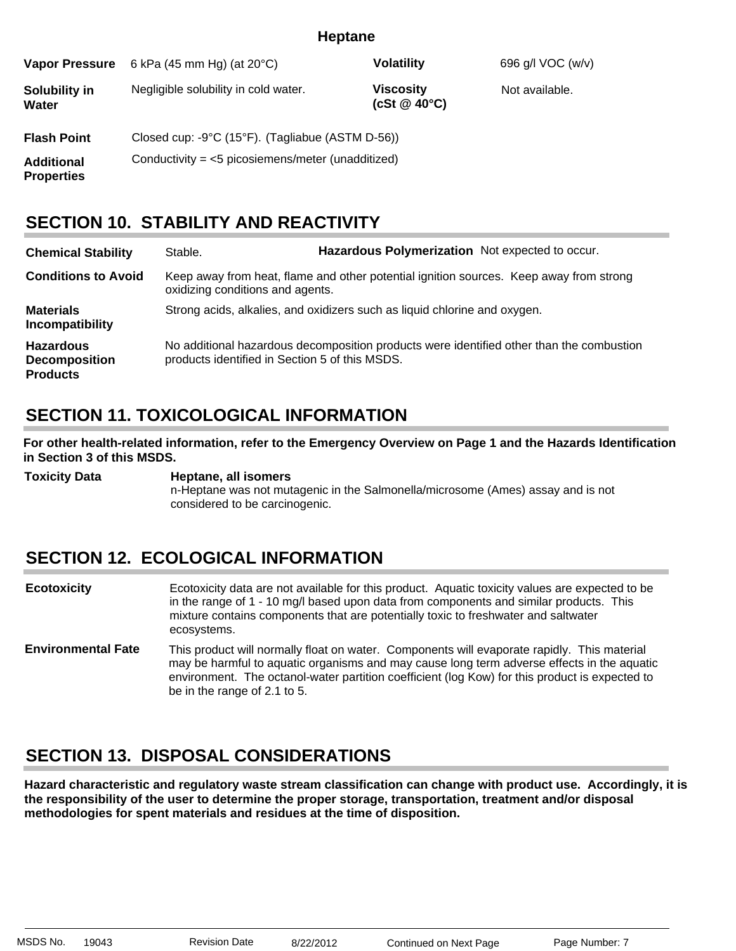| <b>Vapor Pressure</b>                  | 6 kPa (45 mm Hg) (at $20^{\circ}$ C)                                 | <b>Volatility</b>                      | 696 g/l VOC (w/v) |  |  |
|----------------------------------------|----------------------------------------------------------------------|----------------------------------------|-------------------|--|--|
| Solubility in<br>Water                 | Negligible solubility in cold water.                                 | <b>Viscosity</b><br>(cSt $@$ 40 $°C$ ) | Not available.    |  |  |
| <b>Flash Point</b>                     | Closed cup: $-9^{\circ}C$ (15 $^{\circ}F$ ). (Tagliabue (ASTM D-56)) |                                        |                   |  |  |
| <b>Additional</b><br><b>Properties</b> | Conductivity = $<$ 5 picosiemens/meter (unadditized)                 |                                        |                   |  |  |

### **SECTION 10. STABILITY AND REACTIVITY**

| <b>Chemical Stability</b>                                   | Stable.                                                                   | Hazardous Polymerization Not expected to occur.                                          |  |  |
|-------------------------------------------------------------|---------------------------------------------------------------------------|------------------------------------------------------------------------------------------|--|--|
| <b>Conditions to Avoid</b>                                  | oxidizing conditions and agents.                                          | Keep away from heat, flame and other potential ignition sources. Keep away from strong   |  |  |
| <b>Materials</b><br>Incompatibility                         | Strong acids, alkalies, and oxidizers such as liquid chlorine and oxygen. |                                                                                          |  |  |
| <b>Hazardous</b><br><b>Decomposition</b><br><b>Products</b> | products identified in Section 5 of this MSDS.                            | No additional hazardous decomposition products were identified other than the combustion |  |  |

## **SECTION 11. TOXICOLOGICAL INFORMATION**

**For other health-related information, refer to the Emergency Overview on Page 1 and the Hazards Identification in Section 3 of this MSDS.**

**Toxicity Data Heptane, all isomers**: n-Heptane was not mutagenic in the Salmonella/microsome (Ames) assay and is not considered to be carcinogenic.

## **SECTION 12. ECOLOGICAL INFORMATION**

- Ecotoxicity data are not available for this product. Aquatic toxicity values are expected to be in the range of 1 - 10 mg/l based upon data from components and similar products. This mixture contains components that are potentially toxic to freshwater and saltwater ecosystems. **Ecotoxicity**
- This product will normally float on water. Components will evaporate rapidly. This material may be harmful to aquatic organisms and may cause long term adverse effects in the aquatic environment. The octanol-water partition coefficient (log Kow) for this product is expected to be in the range of 2.1 to 5. **Environmental Fate**

## **SECTION 13. DISPOSAL CONSIDERATIONS**

**Hazard characteristic and regulatory waste stream classification can change with product use. Accordingly, it is the responsibility of the user to determine the proper storage, transportation, treatment and/or disposal methodologies for spent materials and residues at the time of disposition.**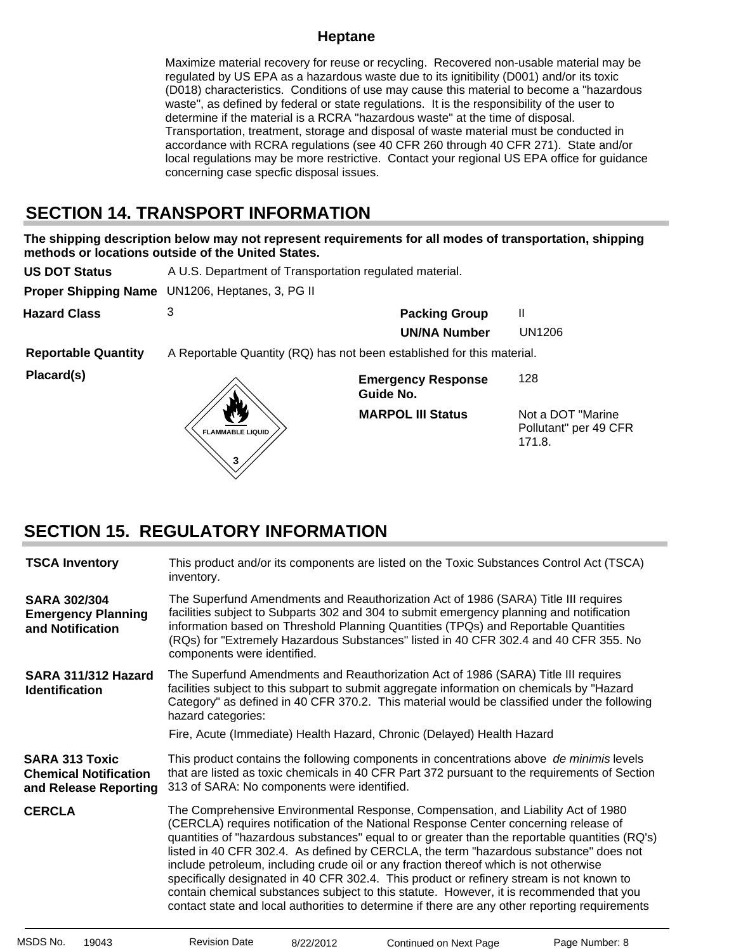Maximize material recovery for reuse or recycling. Recovered non-usable material may be regulated by US EPA as a hazardous waste due to its ignitibility (D001) and/or its toxic (D018) characteristics. Conditions of use may cause this material to become a "hazardous waste", as defined by federal or state regulations. It is the responsibility of the user to determine if the material is a RCRA "hazardous waste" at the time of disposal. Transportation, treatment, storage and disposal of waste material must be conducted in accordance with RCRA regulations (see 40 CFR 260 through 40 CFR 271). State and/or local regulations may be more restrictive. Contact your regional US EPA office for guidance concerning case specfic disposal issues.

## **SECTION 14. TRANSPORT INFORMATION**

**The shipping description below may not represent requirements for all modes of transportation, shipping methods or locations outside of the United States.**

| <b>US DOT Status</b>        | A U.S. Department of Transportation regulated material.                |                                        |                                                       |
|-----------------------------|------------------------------------------------------------------------|----------------------------------------|-------------------------------------------------------|
| <b>Proper Shipping Name</b> | UN1206, Heptanes, 3, PG II                                             |                                        |                                                       |
| <b>Hazard Class</b>         | 3                                                                      | <b>Packing Group</b>                   | Ш                                                     |
|                             |                                                                        | <b>UN/NA Number</b>                    | UN1206                                                |
| <b>Reportable Quantity</b>  | A Reportable Quantity (RQ) has not been established for this material. |                                        |                                                       |
| Placard(s)                  |                                                                        | <b>Emergency Response</b><br>Guide No. | 128                                                   |
|                             | <b>FLAMMABLE LIQUID</b><br>3                                           | <b>MARPOL III Status</b>               | Not a DOT "Marine"<br>Pollutant" per 49 CFR<br>171.8. |

## **SECTION 15. REGULATORY INFORMATION**

| <b>TSCA Inventory</b>                                                          | This product and/or its components are listed on the Toxic Substances Control Act (TSCA)<br>inventory.                                                                                                                                                                                                                                                                                                                                                                                                                                                                                                                                                                                                                                                  |
|--------------------------------------------------------------------------------|---------------------------------------------------------------------------------------------------------------------------------------------------------------------------------------------------------------------------------------------------------------------------------------------------------------------------------------------------------------------------------------------------------------------------------------------------------------------------------------------------------------------------------------------------------------------------------------------------------------------------------------------------------------------------------------------------------------------------------------------------------|
| <b>SARA 302/304</b><br><b>Emergency Planning</b><br>and Notification           | The Superfund Amendments and Reauthorization Act of 1986 (SARA) Title III requires<br>facilities subject to Subparts 302 and 304 to submit emergency planning and notification<br>information based on Threshold Planning Quantities (TPQs) and Reportable Quantities<br>(RQs) for "Extremely Hazardous Substances" listed in 40 CFR 302.4 and 40 CFR 355. No<br>components were identified.                                                                                                                                                                                                                                                                                                                                                            |
| SARA 311/312 Hazard<br><b>Identification</b>                                   | The Superfund Amendments and Reauthorization Act of 1986 (SARA) Title III requires<br>facilities subject to this subpart to submit aggregate information on chemicals by "Hazard<br>Category" as defined in 40 CFR 370.2. This material would be classified under the following<br>hazard categories:                                                                                                                                                                                                                                                                                                                                                                                                                                                   |
|                                                                                | Fire, Acute (Immediate) Health Hazard, Chronic (Delayed) Health Hazard                                                                                                                                                                                                                                                                                                                                                                                                                                                                                                                                                                                                                                                                                  |
| <b>SARA 313 Toxic</b><br><b>Chemical Notification</b><br>and Release Reporting | This product contains the following components in concentrations above de minimis levels<br>that are listed as toxic chemicals in 40 CFR Part 372 pursuant to the requirements of Section<br>313 of SARA: No components were identified.                                                                                                                                                                                                                                                                                                                                                                                                                                                                                                                |
| <b>CERCLA</b>                                                                  | The Comprehensive Environmental Response, Compensation, and Liability Act of 1980<br>(CERCLA) requires notification of the National Response Center concerning release of<br>quantities of "hazardous substances" equal to or greater than the reportable quantities (RQ's)<br>listed in 40 CFR 302.4. As defined by CERCLA, the term "hazardous substance" does not<br>include petroleum, including crude oil or any fraction thereof which is not otherwise<br>specifically designated in 40 CFR 302.4. This product or refinery stream is not known to<br>contain chemical substances subject to this statute. However, it is recommended that you<br>contact state and local authorities to determine if there are any other reporting requirements |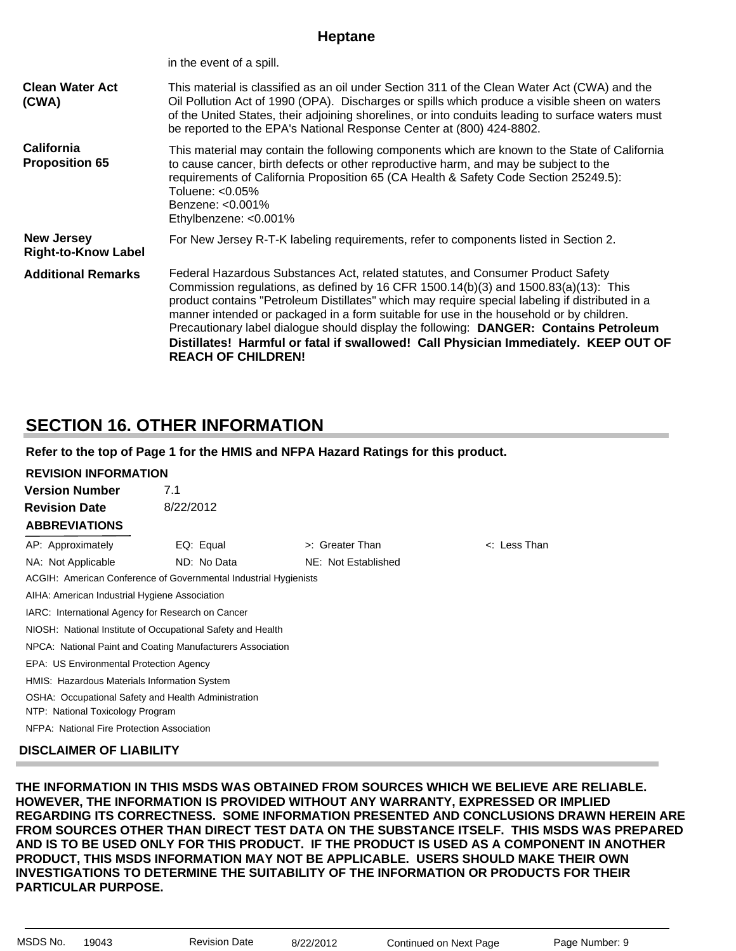| <b>Clean Water Act</b><br>(CWA)                 | This material is classified as an oil under Section 311 of the Clean Water Act (CWA) and the<br>Oil Pollution Act of 1990 (OPA). Discharges or spills which produce a visible sheen on waters<br>of the United States, their adjoining shorelines, or into conduits leading to surface waters must<br>be reported to the EPA's National Response Center at (800) 424-8802.                                                                                                                                                                                                             |
|-------------------------------------------------|----------------------------------------------------------------------------------------------------------------------------------------------------------------------------------------------------------------------------------------------------------------------------------------------------------------------------------------------------------------------------------------------------------------------------------------------------------------------------------------------------------------------------------------------------------------------------------------|
| California<br><b>Proposition 65</b>             | This material may contain the following components which are known to the State of California<br>to cause cancer, birth defects or other reproductive harm, and may be subject to the<br>requirements of California Proposition 65 (CA Health & Safety Code Section 25249.5):<br>Toluene: <0.05%<br>Benzene: <0.001%<br>Ethylbenzene: <0.001%                                                                                                                                                                                                                                          |
| <b>New Jersey</b><br><b>Right-to-Know Label</b> | For New Jersey R-T-K labeling requirements, refer to components listed in Section 2.                                                                                                                                                                                                                                                                                                                                                                                                                                                                                                   |
| <b>Additional Remarks</b>                       | Federal Hazardous Substances Act, related statutes, and Consumer Product Safety<br>Commission regulations, as defined by 16 CFR $1500.14(b)(3)$ and $1500.83(a)(13)$ : This<br>product contains "Petroleum Distillates" which may require special labeling if distributed in a<br>manner intended or packaged in a form suitable for use in the household or by children.<br>Precautionary label dialogue should display the following: DANGER: Contains Petroleum<br>Distillates! Harmful or fatal if swallowed! Call Physician Immediately. KEEP OUT OF<br><b>REACH OF CHILDREN!</b> |

### **SECTION 16. OTHER INFORMATION**

in the event of a spill.

#### **Refer to the top of Page 1 for the HMIS and NFPA Hazard Ratings for this product.**

| <b>REVISION INFORMATION</b>                                |                                                                  |                     |                   |
|------------------------------------------------------------|------------------------------------------------------------------|---------------------|-------------------|
| <b>Version Number</b>                                      | 7.1                                                              |                     |                   |
| <b>Revision Date</b>                                       | 8/22/2012                                                        |                     |                   |
| <b>ABBREVIATIONS</b>                                       |                                                                  |                     |                   |
| AP: Approximately                                          | EQ: Equal                                                        | >: Greater Than     | $\lt$ : Less Than |
| NA: Not Applicable                                         | ND: No Data                                                      | NE: Not Established |                   |
|                                                            | ACGIH: American Conference of Governmental Industrial Hygienists |                     |                   |
| AIHA: American Industrial Hygiene Association              |                                                                  |                     |                   |
| IARC: International Agency for Research on Cancer          |                                                                  |                     |                   |
|                                                            | NIOSH: National Institute of Occupational Safety and Health      |                     |                   |
| NPCA: National Paint and Coating Manufacturers Association |                                                                  |                     |                   |
| EPA: US Environmental Protection Agency                    |                                                                  |                     |                   |
| HMIS: Hazardous Materials Information System               |                                                                  |                     |                   |
| NTP: National Toxicology Program                           | OSHA: Occupational Safety and Health Administration              |                     |                   |
| NFPA: National Fire Protection Association                 |                                                                  |                     |                   |

#### **DISCLAIMER OF LIABILITY**

**THE INFORMATION IN THIS MSDS WAS OBTAINED FROM SOURCES WHICH WE BELIEVE ARE RELIABLE. HOWEVER, THE INFORMATION IS PROVIDED WITHOUT ANY WARRANTY, EXPRESSED OR IMPLIED REGARDING ITS CORRECTNESS. SOME INFORMATION PRESENTED AND CONCLUSIONS DRAWN HEREIN ARE FROM SOURCES OTHER THAN DIRECT TEST DATA ON THE SUBSTANCE ITSELF. THIS MSDS WAS PREPARED AND IS TO BE USED ONLY FOR THIS PRODUCT. IF THE PRODUCT IS USED AS A COMPONENT IN ANOTHER PRODUCT, THIS MSDS INFORMATION MAY NOT BE APPLICABLE. USERS SHOULD MAKE THEIR OWN INVESTIGATIONS TO DETERMINE THE SUITABILITY OF THE INFORMATION OR PRODUCTS FOR THEIR PARTICULAR PURPOSE.**